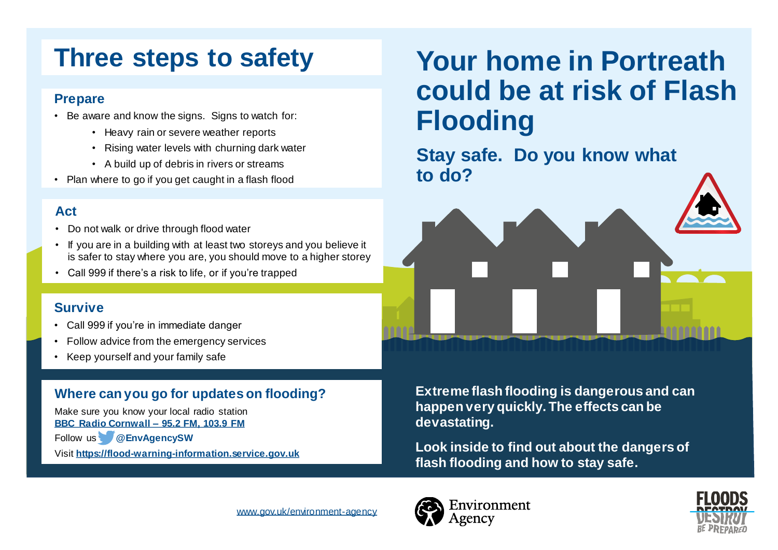# **Three steps to safety**

### **Prepare**

- Be aware and know the signs. Signs to watch for:
	- Heavy rain or severe weather reports
	- Rising water levels with churning dark water
	- A build up of debris in rivers or streams
- Plan where to go if you get caught in a flash flood

# **Act**

- Do not walk or drive through flood water
- If you are in a building with at least two storeys and you believe it is safer to stay where you are, you should move to a higher storey
- Call 999 if there's a risk to life, or if you're trapped

### **Survive**

- Call 999 if you're in immediate danger
- Follow advice from the emergency services
- Keep yourself and your family safe

# **Where can you go for updates on flooding?**

Make sure you know your local radio station **[BBC Radio Cornwall –](http://www.bbc.co.uk/cornwall/programmes) 95.2 FM, 103.9 FM** 

Follow us **@EnvAgencySW**

Visit **[https://flood-warning-information.service.gov.uk](https://flood-warning-information.service.gov.uk/)**

# **Your home in Portreath could be at risk of Flash Flooding**

**Stay safe. Do you know what to do?**



**Extreme flash flooding is dangerous and can happen very quickly. The effects can be devastating.**

**Look inside to find out about the dangers of flash flooding and how to stay safe.**